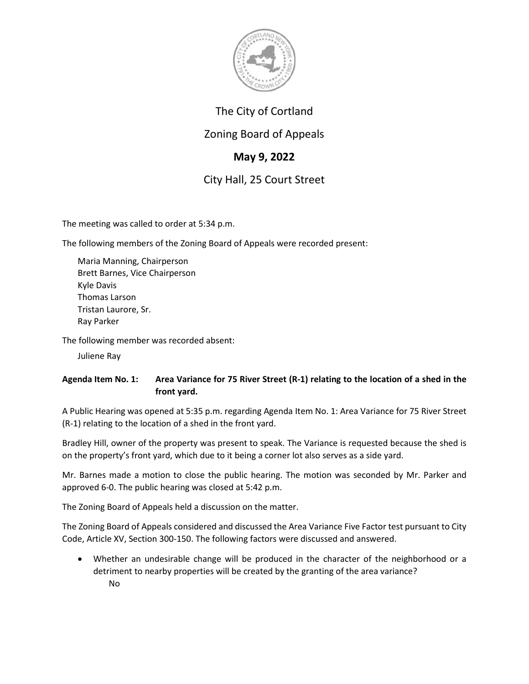

## The City of Cortland

## Zoning Board of Appeals

# **May 9, 2022**

# City Hall, 25 Court Street

The meeting was called to order at 5:34 p.m.

The following members of the Zoning Board of Appeals were recorded present:

Maria Manning, Chairperson Brett Barnes, Vice Chairperson Kyle Davis Thomas Larson Tristan Laurore, Sr. Ray Parker

The following member was recorded absent:

Juliene Ray

### **Agenda Item No. 1: Area Variance for 75 River Street (R-1) relating to the location of a shed in the front yard.**

A Public Hearing was opened at 5:35 p.m. regarding Agenda Item No. 1: Area Variance for 75 River Street (R-1) relating to the location of a shed in the front yard.

Bradley Hill, owner of the property was present to speak. The Variance is requested because the shed is on the property's front yard, which due to it being a corner lot also serves as a side yard.

Mr. Barnes made a motion to close the public hearing. The motion was seconded by Mr. Parker and approved 6-0. The public hearing was closed at 5:42 p.m.

The Zoning Board of Appeals held a discussion on the matter.

The Zoning Board of Appeals considered and discussed the Area Variance Five Factor test pursuant to City Code, Article XV, Section 300-150. The following factors were discussed and answered.

• Whether an undesirable change will be produced in the character of the neighborhood or a detriment to nearby properties will be created by the granting of the area variance? No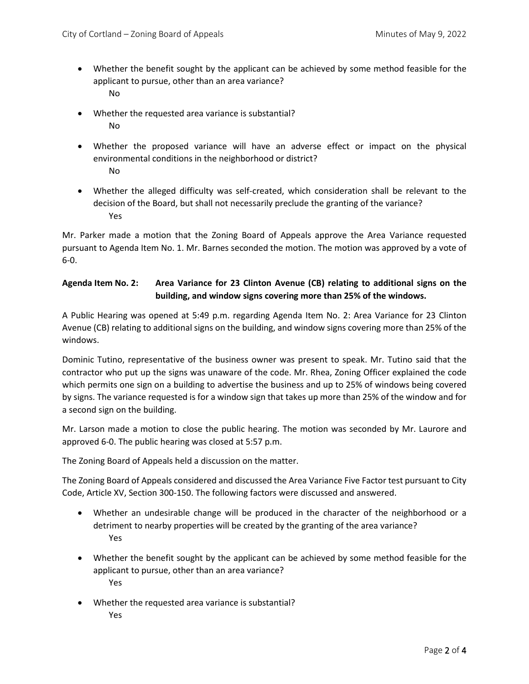- Whether the benefit sought by the applicant can be achieved by some method feasible for the applicant to pursue, other than an area variance? No
- Whether the requested area variance is substantial? No
- Whether the proposed variance will have an adverse effect or impact on the physical environmental conditions in the neighborhood or district? No
- Whether the alleged difficulty was self-created, which consideration shall be relevant to the decision of the Board, but shall not necessarily preclude the granting of the variance? Yes

Mr. Parker made a motion that the Zoning Board of Appeals approve the Area Variance requested pursuant to Agenda Item No. 1. Mr. Barnes seconded the motion. The motion was approved by a vote of 6-0.

#### **Agenda Item No. 2: Area Variance for 23 Clinton Avenue (CB) relating to additional signs on the building, and window signs covering more than 25% of the windows.**

A Public Hearing was opened at 5:49 p.m. regarding Agenda Item No. 2: Area Variance for 23 Clinton Avenue (CB) relating to additional signs on the building, and window signs covering more than 25% of the windows.

Dominic Tutino, representative of the business owner was present to speak. Mr. Tutino said that the contractor who put up the signs was unaware of the code. Mr. Rhea, Zoning Officer explained the code which permits one sign on a building to advertise the business and up to 25% of windows being covered by signs. The variance requested is for a window sign that takes up more than 25% of the window and for a second sign on the building.

Mr. Larson made a motion to close the public hearing. The motion was seconded by Mr. Laurore and approved 6-0. The public hearing was closed at 5:57 p.m.

The Zoning Board of Appeals held a discussion on the matter.

The Zoning Board of Appeals considered and discussed the Area Variance Five Factor test pursuant to City Code, Article XV, Section 300-150. The following factors were discussed and answered.

- Whether an undesirable change will be produced in the character of the neighborhood or a detriment to nearby properties will be created by the granting of the area variance? Yes
- Whether the benefit sought by the applicant can be achieved by some method feasible for the applicant to pursue, other than an area variance? Yes
- Whether the requested area variance is substantial? Yes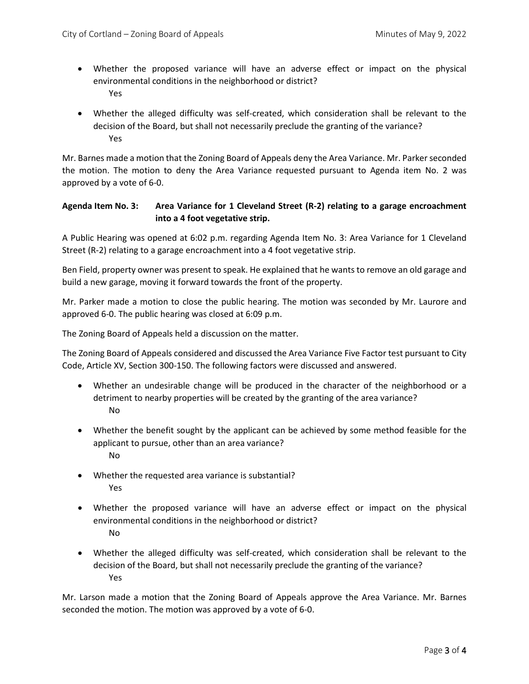- Whether the proposed variance will have an adverse effect or impact on the physical environmental conditions in the neighborhood or district? Yes
- Whether the alleged difficulty was self-created, which consideration shall be relevant to the decision of the Board, but shall not necessarily preclude the granting of the variance? Yes

Mr. Barnes made a motion that the Zoning Board of Appeals deny the Area Variance. Mr. Parkerseconded the motion. The motion to deny the Area Variance requested pursuant to Agenda item No. 2 was approved by a vote of 6-0.

#### **Agenda Item No. 3: Area Variance for 1 Cleveland Street (R-2) relating to a garage encroachment into a 4 foot vegetative strip.**

A Public Hearing was opened at 6:02 p.m. regarding Agenda Item No. 3: Area Variance for 1 Cleveland Street (R-2) relating to a garage encroachment into a 4 foot vegetative strip.

Ben Field, property owner was present to speak. He explained that he wants to remove an old garage and build a new garage, moving it forward towards the front of the property.

Mr. Parker made a motion to close the public hearing. The motion was seconded by Mr. Laurore and approved 6-0. The public hearing was closed at 6:09 p.m.

The Zoning Board of Appeals held a discussion on the matter.

The Zoning Board of Appeals considered and discussed the Area Variance Five Factor test pursuant to City Code, Article XV, Section 300-150. The following factors were discussed and answered.

- Whether an undesirable change will be produced in the character of the neighborhood or a detriment to nearby properties will be created by the granting of the area variance? No
- Whether the benefit sought by the applicant can be achieved by some method feasible for the applicant to pursue, other than an area variance? No
- Whether the requested area variance is substantial? Yes
- Whether the proposed variance will have an adverse effect or impact on the physical environmental conditions in the neighborhood or district? No
- Whether the alleged difficulty was self-created, which consideration shall be relevant to the decision of the Board, but shall not necessarily preclude the granting of the variance? Yes

Mr. Larson made a motion that the Zoning Board of Appeals approve the Area Variance. Mr. Barnes seconded the motion. The motion was approved by a vote of 6-0.